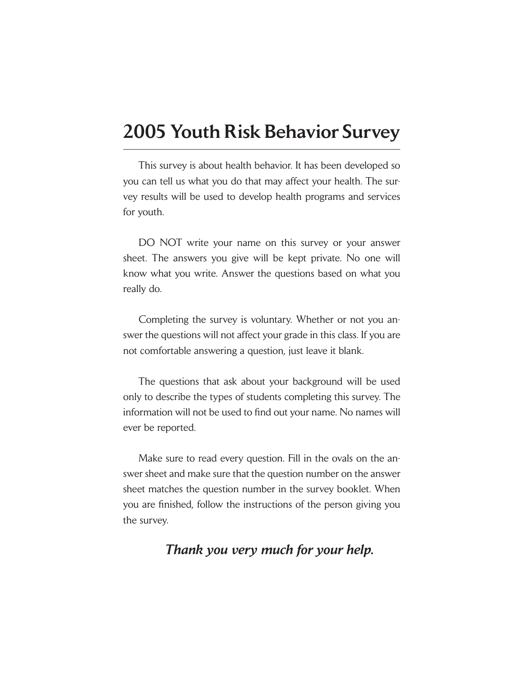# 2005 Youth Risk Behavior Survey

This survey is about health behavior. It has been developed so you can tell us what you do that may affect your health. The survey results will be used to develop health programs and services for youth.

DO NOT write your name on this survey or your answer sheet. The answers you give will be kept private. No one will know what you write. Answer the questions based on what you really do.

Completing the survey is voluntary. Whether or not you answer the questions will not affect your grade in this class. If you are not comfortable answering a question, just leave it blank.

The questions that ask about your background will be used only to describe the types of students completing this survey. The information will not be used to find out your name. No names will ever be reported.

Make sure to read every question. Fill in the ovals on the answer sheet and make sure that the question number on the answer sheet matches the question number in the survey booklet. When you are finished, follow the instructions of the person giving you the survey.

# *Thank you very much for your help.*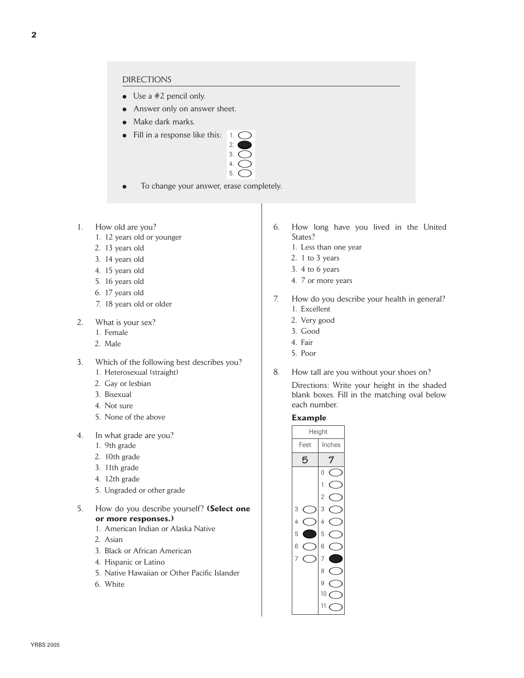- $\bullet$  Use a #2 pencil only.
- Answer only on answer sheet.
- Make dark marks.
- Fill in a response like this:  $\bigcup$



- To change your answer, erase completely.
- 1. How old are you?
	- 1. 12 years old or younger
	- 2. 13 years old
	- 3. 14 years old
	- 4. 15 years old
	- 5. 16 years old
	- 6. 17 years old
	- 7. 18 years old or older
- 2. What is your sex?
	- 1. Female
	- 2. Male
- 3. Which of the following best describes you? 1. Heterosexual (straight)
	- 2. Gay or lesbian
	- 3. Bisexual
	- 4. Not sure
	- 5. None of the above
- 4. In what grade are you?
	- 1. 9th grade
	- 2. 10th grade
	- 3. 11th grade
	- 4. 12th grade
	- 5. Ungraded or other grade
- 5. How do you describe yourself? **(Select one or more responses.)**
	- 1. American Indian or Alaska Native
	- 2. Asian
	- 3. Black or African American
	- 4. Hispanic or Latino
	- 5. Native Hawaiian or Other Pacific Islander
	- 6. White
- 6. How long have you lived in the United States?
	- 1. Less than one year
	- 2. 1 to 3 years
	- 3. 4 to 6 years
	- 4. 7 or more years
- 7. How do you describe your health in general? 1. Excellent
	- 2. Very good
	- 3. Good
	- 4. Fair
	- 5. Poor
- 8. How tall are you without your shoes on?

Directions: Write your height in the shaded blank boxes. Fill in the matching oval below each number.

# **Example**

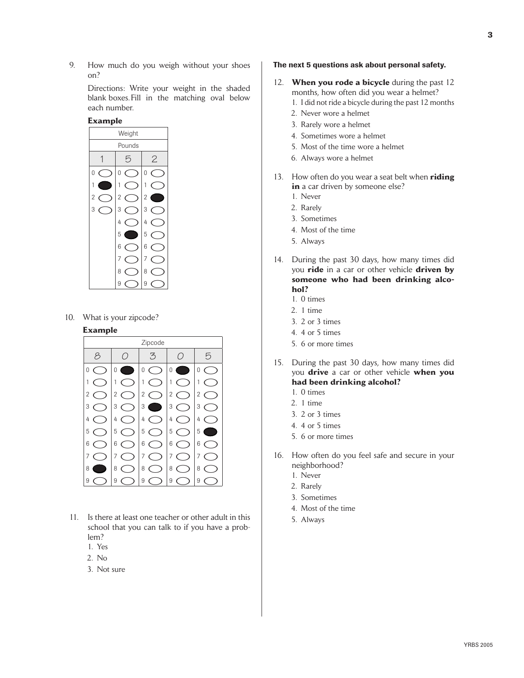9. How much do you weigh without your shoes on?

> Directions: Write your weight in the shaded blank boxes. Fill in the matching oval below each number.

#### **Example**



10. What is your zipcode?

# **Example**



- 11. Is there at least one teacher or other adult in this school that you can talk to if you have a problem?
	- 1. Yes
	- 2. No
	- 3. Not sure

#### The next 5 questions ask about personal safety.

- 12. **When you rode a bicycle** during the past 12 months, how often did you wear a helmet?
	- 1. I did not ride a bicycle during the past 12 months
	- 2. Never wore a helmet
	- 3. Rarely wore a helmet
	- 4. Sometimes wore a helmet
	- 5. Most of the time wore a helmet
	- 6. Always wore a helmet
- 13. How often do you wear a seat belt when **riding**  in a car driven by someone else?
	- 1. Never
	- 2. Rarely
	- 3. Sometimes
	- 4. Most of the time
	- 5. Always
- 14. During the past 30 days, how many times did you **ride** in a car or other vehicle **driven by someone who had been drinking alcohol?** 
	- 1. 0 times
	- 2. 1 time
	- 3. 2 or 3 times
	- 4. 4 or 5 times
	- 5. 6 or more times
- 15. During the past 30 days, how many times did you **drive** a car or other vehicle **when you had been drinking alcohol?** 
	- 1. 0 times
	- 2. 1 time
	- 3. 2 or 3 times
	- 4. 4 or 5 times
	- 5. 6 or more times
- 16. How often do you feel safe and secure in your neighborhood?
	- 1. Never
	- 2. Rarely
	- 3. Sometimes
	- 4. Most of the time
	- 5. Always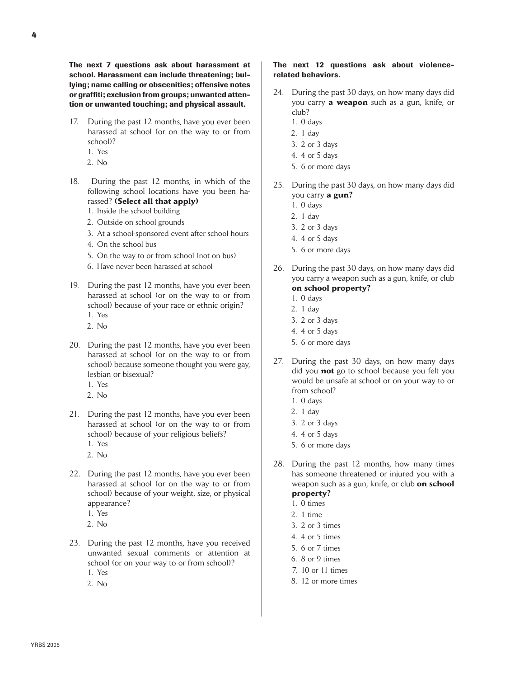The next 7 questions ask about harassment at school. Harassment can include threatening; bullying; name calling or obscenities; offensive notes or graffiti; exclusion from groups; unwanted attention or unwanted touching; and physical assault.

- 17. During the past 12 months, have you ever been harassed at school (or on the way to or from school)?
	- 1. Yes
	- 2. No
- 18. During the past 12 months, in which of the following school locations have you been harassed? **(Select all that apply)**
	- 1. Inside the school building
	- 2. Outside on school grounds
	- 3. At a school-sponsored event after school hours
	- 4. On the school bus
	- 5. On the way to or from school (not on bus)
	- 6. Have never been harassed at school
- 19. During the past 12 months, have you ever been harassed at school (or on the way to or from school) because of your race or ethnic origin? 1. Yes
	- 2. No
- 20. During the past 12 months, have you ever been harassed at school (or on the way to or from school) because someone thought you were gay, lesbian or bisexual?
	- 1. Yes
	- 2. No
- 21. During the past 12 months, have you ever been harassed at school (or on the way to or from school) because of your religious beliefs? 1. Yes
	- 2. No
- 22. During the past 12 months, have you ever been harassed at school (or on the way to or from school) because of your weight, size, or physical appearance?
	- 1. Yes
	- 2. No
- 23. During the past 12 months, have you received unwanted sexual comments or attention at school (or on your way to or from school)? 1. Yes
	- 2. No

### The next 12 questions ask about violencerelated behaviors.

- 24. During the past 30 days, on how many days did you carry **a weapon** such as a gun, knife, or club?
	- 1. 0 days
	- 2. 1 day
	- 3. 2 or 3 days
	- 4. 4 or 5 days
	- 5. 6 or more days
- 25. During the past 30 days, on how many days did you carry **a gun?** 
	- 1. 0 days
	- 2. 1 day
	- 3. 2 or 3 days
	- 4. 4 or 5 days
	- 5. 6 or more days
- 26. During the past 30 days, on how many days did you carry a weapon such as a gun, knife, or club **on school property?** 
	- 1. 0 days
	- 2. 1 day
	- 3. 2 or 3 days
	- 4. 4 or 5 days
	- 5. 6 or more days
- 27. During the past 30 days, on how many days did you **not** go to school because you felt you would be unsafe at school or on your way to or from school?
	- 1. 0 days
	- 2. 1 day
	- 3. 2 or 3 days
	- 4. 4 or 5 days
	- 5. 6 or more days
- 28. During the past 12 months, how many times has someone threatened or injured you with a weapon such as a gun, knife, or club **on school property?** 
	- 1. 0 times
	- 2. 1 time
	- 3. 2 or 3 times
	- 4. 4 or 5 times
	- 5. 6 or 7 times
	- 6. 8 or 9 times
	- 7. 10 or 11 times
	- 8. 12 or more times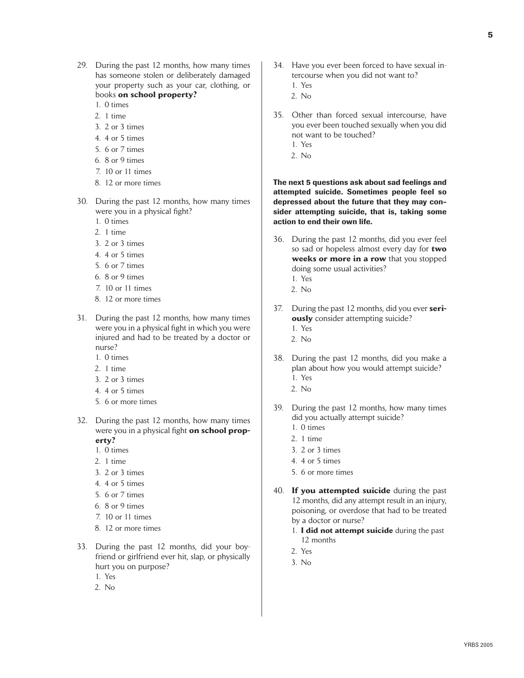- 29. During the past 12 months, how many times has someone stolen or deliberately damaged your property such as your car, clothing, or books **on school property?**
	- 1. 0 times
	- 2. 1 time
	- 3. 2 or 3 times
	- 4. 4 or 5 times
	- 5. 6 or 7 times
	- 6. 8 or 9 times
	- 7. 10 or 11 times
	- 8. 12 or more times
- 30. During the past 12 months, how many times were you in a physical fight?
	- 1. 0 times
	- 2. 1 time
	- 3. 2 or 3 times
	- 4. 4 or 5 times
	- 5. 6 or 7 times
	- 6. 8 or 9 times
	- 7. 10 or 11 times
	- 8. 12 or more times
- 31. During the past 12 months, how many times were you in a physical fight in which you were injured and had to be treated by a doctor or nurse?
	- 1. 0 times
	- 2. 1 time
	- 3. 2 or 3 times
	- 4. 4 or 5 times
	- 5. 6 or more times
- 32. During the past 12 months, how many times were you in a physical fight **on school property?** 
	- 1. 0 times
	- 2. 1 time
	- 3. 2 or 3 times
	- 4. 4 or 5 times
	- 5. 6 or 7 times
	- 6. 8 or 9 times
	- 7. 10 or 11 times
	- 8. 12 or more times
- 33. During the past 12 months, did your boyfriend or girlfriend ever hit, slap, or physically hurt you on purpose? 1. Yes
	-
	- 2. No
- 34. Have you ever been forced to have sexual intercourse when you did not want to?
	- 1. Yes
	- 2. No
- 35. Other than forced sexual intercourse, have you ever been touched sexually when you did not want to be touched?
	- 1. Yes
	- 2. No

The next 5 questions ask about sad feelings and attempted suicide. Sometimes people feel so depressed about the future that they may consider attempting suicide, that is, taking some action to end their own life.

- 36. During the past 12 months, did you ever feel so sad or hopeless almost every day for **two weeks or more in a row** that you stopped doing some usual activities?
	- 1. Yes
	- $2$  No
- 37. During the past 12 months, did you ever **seriously** consider attempting suicide?
	- 1. Yes
	- 2. No
- 38. During the past 12 months, did you make a plan about how you would attempt suicide? 1. Yes
	- 2. No
- 39. During the past 12 months, how many times did you actually attempt suicide?
	- 1. 0 times
	- 2. 1 time
	- 3. 2 or 3 times
	- 4. 4 or 5 times
	- 5. 6 or more times
- 40. **If you attempted suicide** during the past 12 months, did any attempt result in an injury, poisoning, or overdose that had to be treated by a doctor or nurse?
	- 1. **I did not attempt suicide** during the past 12 months
	- 2. Yes
	- 3. No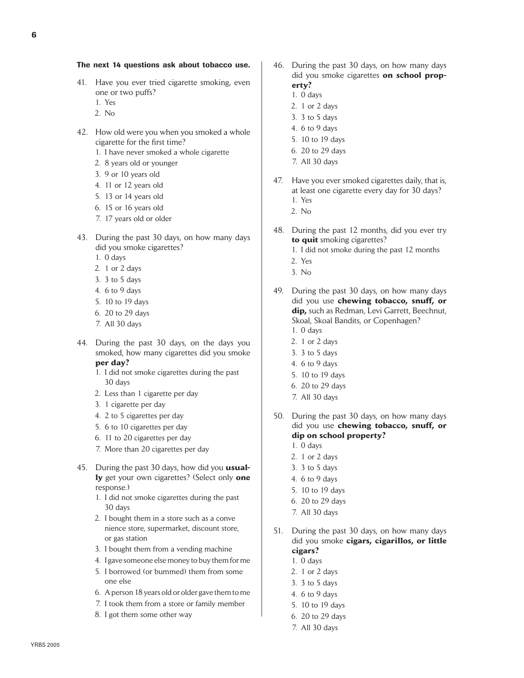#### The next 14 questions ask about tobacco use.

- 41. Have you ever tried cigarette smoking, even one or two puffs?
	- 1. Yes
	- 2. No
- 42. How old were you when you smoked a whole cigarette for the first time?
	- 1. I have never smoked a whole cigarette
	- 2. 8 years old or younger
	- 3. 9 or 10 years old
	- 4. 11 or 12 years old
	- 5. 13 or 14 years old
	- 6. 15 or 16 years old
	- 7. 17 years old or older
- 43. During the past 30 days, on how many days did you smoke cigarettes?
	- 1. 0 days
	- 2. 1 or 2 days
	- 3. 3 to 5 days
	- 4. 6 to 9 days
	- 5. 10 to 19 days
	- 6. 20 to 29 days
	- 7. All 30 days
- 44. During the past 30 days, on the days you smoked, how many cigarettes did you smoke **per day?**
	- 1. I did not smoke cigarettes during the past 30 days
	- 2. Less than 1 cigarette per day
	- 3. 1 cigarette per day
	- 4. 2 to 5 cigarettes per day
	- 5. 6 to 10 cigarettes per day
	- 6. 11 to 20 cigarettes per day
	- 7. More than 20 cigarettes per day
- 45. During the past 30 days, how did you **usually** get your own cigarettes? (Select only **one**  response.)
	- 1. I did not smoke cigarettes during the past 30 days
	- 2. I bought them in a store such as a conve nience store, supermarket, discount store, or gas station
	- 3. I bought them from a vending machine
	- 4. I gave someone else money to buy them for me
	- 5. I borrowed (or bummed) them from some one else
	- 6. A person 18 years old or older gave them to me
	- 7. I took them from a store or family member
	- 8. I got them some other way
- 46. During the past 30 days, on how many days did you smoke cigarettes **on school property?** 
	- 1. 0 days
	- 2. 1 or 2 days
	- 3. 3 to 5 days
	- 4. 6 to 9 days
	- 5. 10 to 19 days
	- 6. 20 to 29 days
	- 7. All 30 days
- 47. Have you ever smoked cigarettes daily, that is, at least one cigarette every day for 30 days?
	- 1. Yes
	- 2. No
- 48. During the past 12 months, did you ever try **to quit** smoking cigarettes?
	- 1. I did not smoke during the past 12 months
	- 2. Yes
	- 3. No
- 49. During the past 30 days, on how many days did you use **chewing tobacco, snuff, or dip,** such as Redman, Levi Garrett, Beechnut, Skoal, Skoal Bandits, or Copenhagen?
	- 1. 0 days
	- 2. 1 or 2 days
	- 3. 3 to 5 days
	- 4. 6 to 9 days
	- 5. 10 to 19 days
	- 6. 20 to 29 days
	- 7. All 30 days
- 50. During the past 30 days, on how many days did you use **chewing tobacco, snuff, or dip on school property?**
	- 1. 0 days
	- 2. 1 or 2 days
	- 3. 3 to 5 days
	- 4. 6 to 9 days
	- 5. 10 to 19 days
	- 6. 20 to 29 days
	- 7. All 30 days
- 51. During the past 30 days, on how many days did you smoke **cigars, cigarillos, or little cigars?**
	- 1. 0 days
	- 2. 1 or 2 days
	- 3. 3 to 5 days
	- 4. 6 to 9 days
	- 5. 10 to 19 days
	- 6. 20 to 29 days
	- 7. All 30 days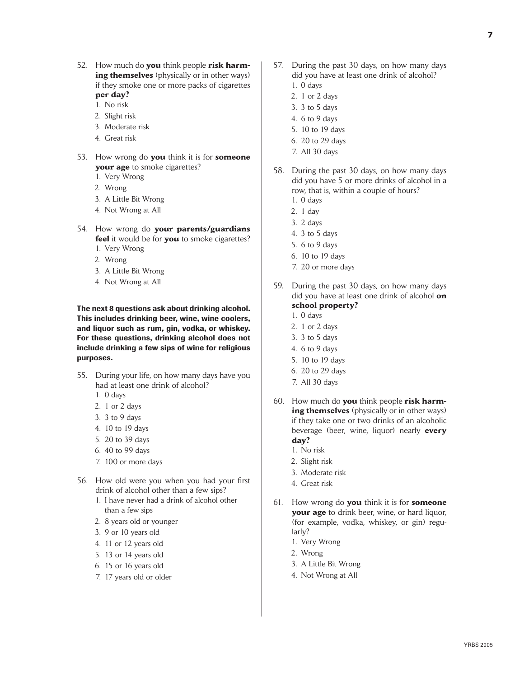- 52. How much do **you** think people **risk harming themselves** (physically or in other ways) if they smoke one or more packs of cigarettes **per day?**
	- 1. No risk
	- 2. Slight risk
	- 3. Moderate risk
	- 4. Great risk
- 53. How wrong do **you** think it is for **someone your age** to smoke cigarettes?
	- 1. Very Wrong
	- 2. Wrong
	- 3. A Little Bit Wrong
	- 4. Not Wrong at All
- 54. How wrong do **your parents/guardians feel** it would be for **you** to smoke cigarettes?
	- 1. Very Wrong
	- 2. Wrong
	- 3. A Little Bit Wrong
	- 4. Not Wrong at All

The next 8 questions ask about drinking alcohol. This includes drinking beer, wine, wine coolers, and liquor such as rum, gin, vodka, or whiskey. For these questions, drinking alcohol does not include drinking a few sips of wine for religious purposes.

- 55. During your life, on how many days have you had at least one drink of alcohol?
	- 1. 0 days
	- 2. 1 or 2 days
	- 3. 3 to 9 days
	- 4. 10 to 19 days
	- 5. 20 to 39 days
	- 6. 40 to 99 days
	- 7. 100 or more days
- 56. How old were you when you had your first drink of alcohol other than a few sips?
	- 1. I have never had a drink of alcohol other than a few sips
	- 2. 8 years old or younger
	- 3. 9 or 10 years old
	- 4. 11 or 12 years old
	- 5. 13 or 14 years old
	- 6. 15 or 16 years old
	- 7. 17 years old or older
- 57. During the past 30 days, on how many days did you have at least one drink of alcohol?
	- 1. 0 days
	- 2. 1 or 2 days
	- 3. 3 to 5 days
	- 4. 6 to 9 days
	- 5. 10 to 19 days
	- 6. 20 to 29 days
	- 7. All 30 days
- 58. During the past 30 days, on how many days did you have 5 or more drinks of alcohol in a row, that is, within a couple of hours?
	- 1. 0 days
	- 2. 1 day
	- 3. 2 days
	- 4. 3 to 5 days
	- 5. 6 to 9 days
	- 6. 10 to 19 days
	- 7. 20 or more days
- 59. During the past 30 days, on how many days did you have at least one drink of alcohol **on school property?**
	- 1. 0 days
	- 2. 1 or 2 days
	- 3. 3 to 5 days
	- 4. 6 to 9 days
	- 5. 10 to 19 days
	- 6. 20 to 29 days
	- 7. All 30 days
- 60. How much do **you** think people **risk harming themselves** (physically or in other ways) if they take one or two drinks of an alcoholic beverage (beer, wine, liquor) nearly **every day?**
	- 1. No risk
	- 2. Slight risk
	- 3. Moderate risk
	- 4. Great risk
- 61. How wrong do **you** think it is for **someone your age** to drink beer, wine, or hard liquor, (for example, vodka, whiskey, or gin) regularly?
	- 1. Very Wrong
	- 2. Wrong
	- 3. A Little Bit Wrong
	- 4. Not Wrong at All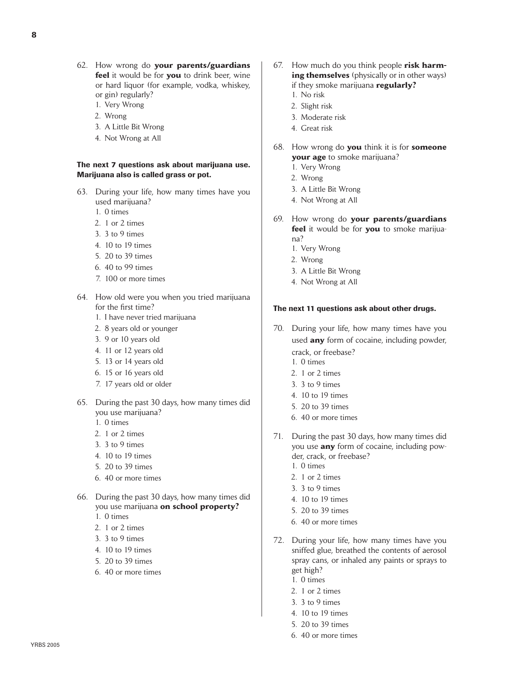- 62. How wrong do **your parents/guardians feel** it would be for **you** to drink beer, wine or hard liquor (for example, vodka, whiskey, or gin) regularly?
	- 1. Very Wrong
	- 2. Wrong
	- 3. A Little Bit Wrong
	- 4. Not Wrong at All

#### The next 7 questions ask about marijuana use. Marijuana also is called grass or pot.

- 63. During your life, how many times have you used marijuana?
	- 1. 0 times
	- 2. 1 or 2 times
	- 3. 3 to 9 times
	- 4. 10 to 19 times
	- 5. 20 to 39 times
	- 6. 40 to 99 times
	- 7. 100 or more times
- 64. How old were you when you tried marijuana for the first time?
	- 1. I have never tried marijuana
	- 2. 8 years old or younger
	- 3. 9 or 10 years old
	- 4. 11 or 12 years old
	- 5. 13 or 14 years old
	- 6. 15 or 16 years old
	- 7. 17 years old or older
- 65. During the past 30 days, how many times did you use marijuana?
	- 1. 0 times
	- 2. 1 or 2 times
	- 3. 3 to 9 times
	- 4. 10 to 19 times
	- 5. 20 to 39 times
	- 6. 40 or more times
- 66. During the past 30 days, how many times did you use marijuana **on school property?** 
	- 1. 0 times
	- 2. 1 or 2 times
	- 3. 3 to 9 times
	- 4. 10 to 19 times
	- 5. 20 to 39 times
	- 6. 40 or more times
- 67. How much do you think people **risk harming themselves** (physically or in other ways) if they smoke marijuana **regularly?**
	- 1. No risk
	-
	- 2. Slight risk
	- 3. Moderate risk
	- 4. Great risk
- 68. How wrong do **you** think it is for **someone your age** to smoke marijuana?
	- 1. Very Wrong
	- 2. Wrong
	- 3. A Little Bit Wrong
	- 4. Not Wrong at All
- 69. How wrong do **your parents/guardians feel** it would be for **you** to smoke marijuana?
	- 1. Very Wrong
	- 2. Wrong
	- 3. A Little Bit Wrong
	- 4. Not Wrong at All

# The next 11 questions ask about other drugs.

- 70. During your life, how many times have you used **any** form of cocaine, including powder,
	- crack, or freebase? 1. 0 times
	- 2. 1 or 2 times
	- 3. 3 to 9 times
	- 4. 10 to 19 times
	- 5. 20 to 39 times
	- 6. 40 or more times
- 71. During the past 30 days, how many times did you use **any** form of cocaine, including powder, crack, or freebase?
	- 1. 0 times
	- 2. 1 or 2 times
	- 3. 3 to 9 times
	- 4. 10 to 19 times
	- 5. 20 to 39 times
	- 6. 40 or more times
- 72. During your life, how many times have you sniffed glue, breathed the contents of aerosol spray cans, or inhaled any paints or sprays to get high?
	- 1. 0 times
	- 2. 1 or 2 times
	- 3. 3 to 9 times
	- 4. 10 to 19 times
	- 5. 20 to 39 times
	- 6. 40 or more times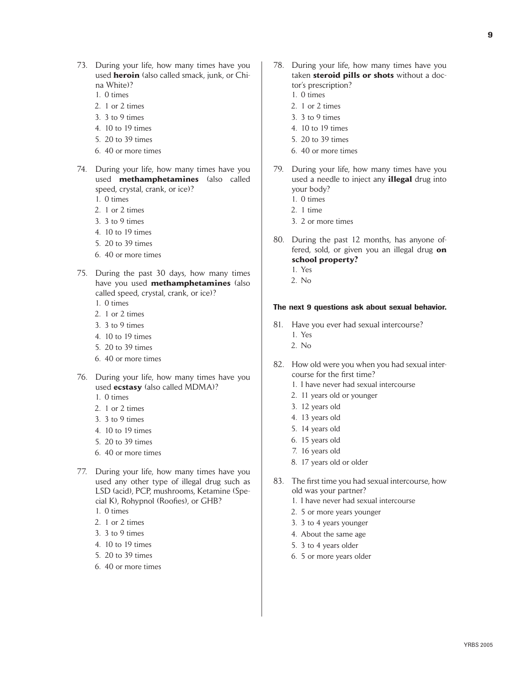- 73. During your life, how many times have you used **heroin** (also called smack, junk, or China White)?
	- 1. 0 times
	- 2. 1 or 2 times
	- 3. 3 to 9 times
	- 4. 10 to 19 times
	- 5. 20 to 39 times
	- 6. 40 or more times
- 74. During your life, how many times have you used **methamphetamines** (also called speed, crystal, crank, or ice)?
	- 1. 0 times
	- 2. 1 or 2 times
	- 3. 3 to 9 times
	- 4. 10 to 19 times
	- 5. 20 to 39 times
	- 6. 40 or more times
- 75. During the past 30 days, how many times have you used **methamphetamines** (also called speed, crystal, crank, or ice)?
	- 1. 0 times
	- 2. 1 or 2 times
	- 3. 3 to 9 times
	- 4. 10 to 19 times
	- 5. 20 to 39 times
	- 6. 40 or more times
- 76. During your life, how many times have you used **ecstasy** (also called MDMA)?
	- 1. 0 times
	- 2. 1 or 2 times
	- 3. 3 to 9 times
	- 4. 10 to 19 times
	- 5. 20 to 39 times
	- 6. 40 or more times
- 77. During your life, how many times have you used any other type of illegal drug such as LSD (acid), PCP, mushrooms, Ketamine (Special K), Rohypnol (Roofies), or GHB?
	- 1. 0 times
	- 2. 1 or 2 times
	- 3. 3 to 9 times
	- 4. 10 to 19 times
	- 5. 20 to 39 times
	- 6. 40 or more times
- 78. During your life, how many times have you taken **steroid pills or shots** without a doctor's prescription?
	- 1. 0 times
	- 2. 1 or 2 times
	- 3. 3 to 9 times
	- 4. 10 to 19 times
	- 5. 20 to 39 times
	- 6. 40 or more times
- 79. During your life, how many times have you used a needle to inject any **illegal** drug into your body?
	- 1. 0 times
	- 2. 1 time
	- 3. 2 or more times
- 80. During the past 12 months, has anyone offered, sold, or given you an illegal drug **on school property?** 
	- 1. Yes
	- 2. No

#### The next 9 questions ask about sexual behavior.

- 81. Have you ever had sexual intercourse? 1. Yes
	- 2. No
- 82. How old were you when you had sexual intercourse for the first time?
	- 1. I have never had sexual intercourse
	- 2. 11 years old or younger
	- 3. 12 years old
	- 4. 13 years old
	- 5. 14 years old
	- 6. 15 years old
	- 7. 16 years old
	- 8. 17 years old or older
- 83. The first time you had sexual intercourse, how old was your partner?
	- 1. I have never had sexual intercourse
	- 2. 5 or more years younger
	- 3. 3 to 4 years younger
	- 4. About the same age
	- 5. 3 to 4 years older
	- 6. 5 or more years older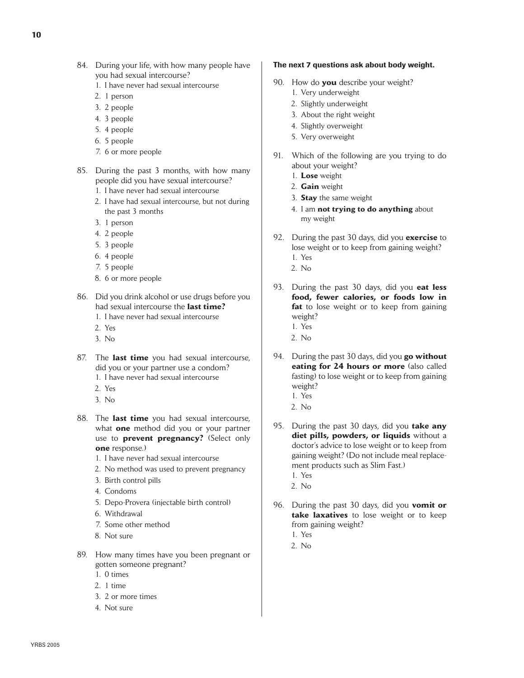- 84. During your life, with how many people have you had sexual intercourse?
	- 1. I have never had sexual intercourse
	- 2. 1 person
	- 3. 2 people
	- 4. 3 people
	- 5. 4 people
	- 6. 5 people
	- 7. 6 or more people
- 85. During the past 3 months, with how many people did you have sexual intercourse?
	- 1. I have never had sexual intercourse
	- 2. I have had sexual intercourse, but not during the past 3 months
	- 3. 1 person
	- 4. 2 people
	- 5. 3 people
	- 6. 4 people
	- 7. 5 people
	- 8. 6 or more people
- 86. Did you drink alcohol or use drugs before you had sexual intercourse the **last time?**
	- 1. I have never had sexual intercourse
	- 2. Yes
	- 3. No
- 87. The **last time** you had sexual intercourse, did you or your partner use a condom? 1. I have never had sexual intercourse
	- 2. Yes
	- 3. No
- 88. The **last time** you had sexual intercourse, what **one** method did you or your partner use to **prevent pregnancy?** (Select only **one** response.)
	- 1. I have never had sexual intercourse
	- 2. No method was used to prevent pregnancy
	- 3. Birth control pills
	- 4. Condoms
	- 5. Depo-Provera (injectable birth control)
	- 6. Withdrawal
	- 7. Some other method
	- 8. Not sure
- 89. How many times have you been pregnant or gotten someone pregnant?
	- 1. 0 times
	- 2. 1 time
	- 3. 2 or more times
	- 4. Not sure

## The next 7 questions ask about body weight.

- 90. How do **you** describe your weight?
	- 1. Very underweight
	- 2. Slightly underweight
	- 3. About the right weight
	- 4. Slightly overweight
	- 5. Very overweight
- 91. Which of the following are you trying to do about your weight?
	- 1. **Lose** weight
	- 2. **Gain** weight
	- 3. **Stay** the same weight
	- 4. I am **not trying to do anything** about my weight
- 92. During the past 30 days, did you **exercise** to lose weight or to keep from gaining weight?
	- 1. Yes
	- 2. No
- 93. During the past 30 days, did you **eat less food, fewer calories, or foods low in fat** to lose weight or to keep from gaining weight?
	- 1. Yes
	- 2. No
- 94. During the past 30 days, did you **go without eating for 24 hours or more** (also called fasting) to lose weight or to keep from gaining weight?
	- 1. Yes
	- 2. No
- 95. During the past 30 days, did you **take any diet pills, powders, or liquids** without a doctor's advice to lose weight or to keep from gaining weight? (Do not include meal replacement products such as Slim Fast.) 1. Yes
	- 2. No
- 96. During the past 30 days, did you **vomit or take laxatives** to lose weight or to keep from gaining weight?
	- 1. Yes
	- 2. No